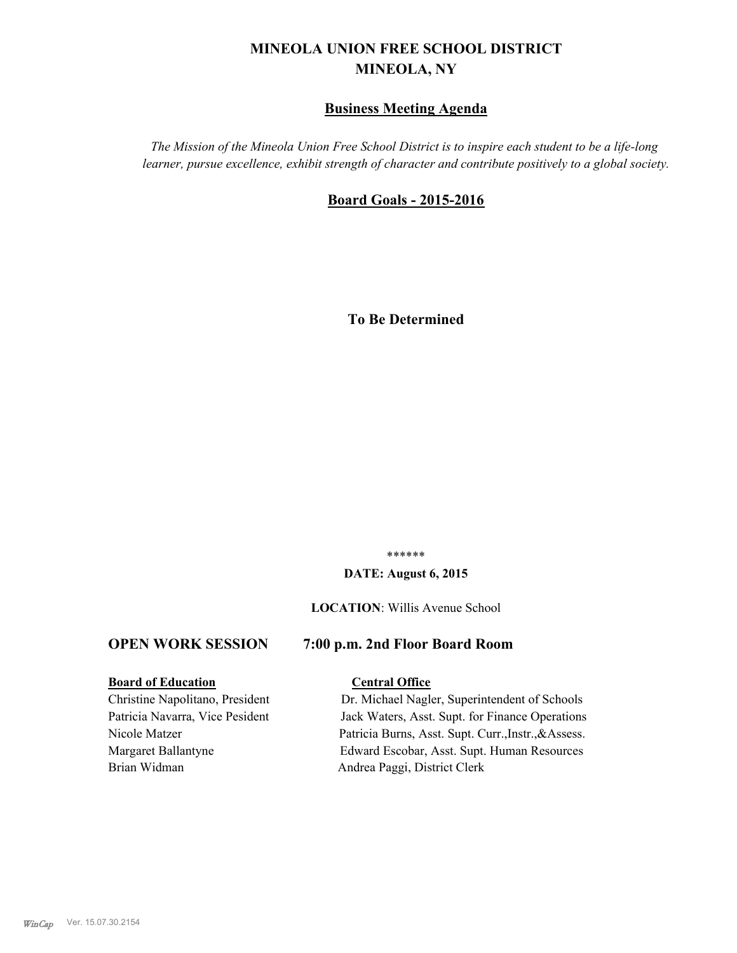# **MINEOLA UNION FREE SCHOOL DISTRICT MINEOLA, NY**

## **Business Meeting Agenda**

*The Mission of the Mineola Union Free School District is to inspire each student to be a life-long learner, pursue excellence, exhibit strength of character and contribute positively to a global society.*

#### **Board Goals - 2015-2016**

**To Be Determined**

\*\*\*\*\*\*

#### **DATE: August 6, 2015**

#### **LOCATION**: Willis Avenue School

#### **OPEN WORK SESSION 7:00 p.m. 2nd Floor Board Room**

#### **Board of Education Central Office**

Brian Widman Andrea Paggi, District Clerk

Christine Napolitano, President Dr. Michael Nagler, Superintendent of Schools Patricia Navarra, Vice Pesident Jack Waters, Asst. Supt. for Finance Operations Nicole Matzer Patricia Burns, Asst. Supt. Curr.,Instr.,&Assess. Margaret Ballantyne Edward Escobar, Asst. Supt. Human Resources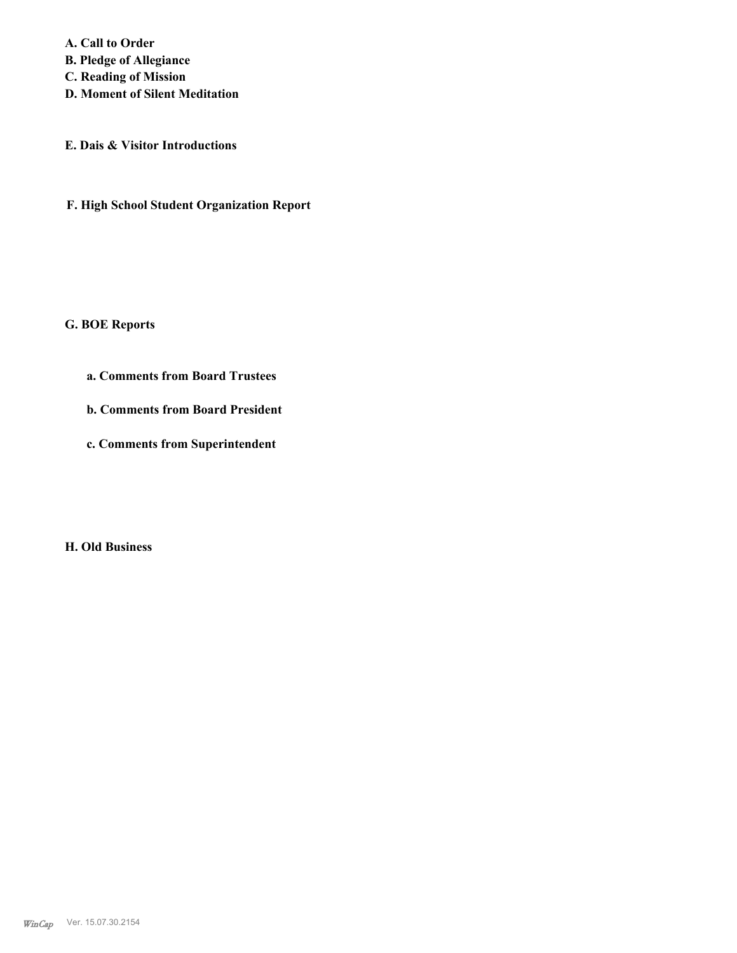**A. Call to Order B. Pledge of Allegiance C. Reading of Mission D. Moment of Silent Meditation**

**E. Dais & Visitor Introductions**

**F. High School Student Organization Report**

**G. BOE Reports**

**a. Comments from Board Trustees**

**b. Comments from Board President**

**c. Comments from Superintendent**

**H. Old Business**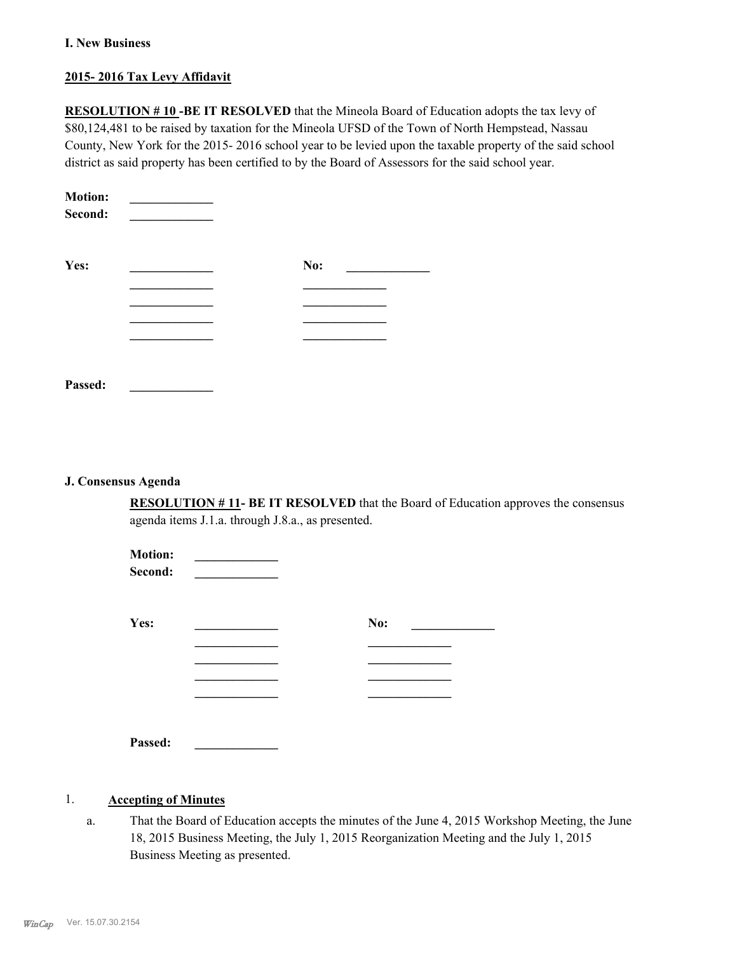#### **I. New Business**

#### **2015- 2016 Tax Levy Affidavit**

**RESOLUTION # 10 -BE IT RESOLVED** that the Mineola Board of Education adopts the tax levy of \$80,124,481 to be raised by taxation for the Mineola UFSD of the Town of North Hempstead, Nassau County, New York for the 2015- 2016 school year to be levied upon the taxable property of the said school district as said property has been certified to by the Board of Assessors for the said school year.

| <b>Motion:</b><br>Second: |     |  |
|---------------------------|-----|--|
| Yes:                      | No: |  |
|                           |     |  |
|                           |     |  |
|                           |     |  |
|                           |     |  |
| Passed:                   |     |  |

#### **J. Consensus Agenda**

**RESOLUTION # 11- BE IT RESOLVED** that the Board of Education approves the consensus agenda items J.1.a. through J.8.a., as presented.

| <b>Motion:</b><br>Second: |     |  |
|---------------------------|-----|--|
| Yes:                      | No: |  |
|                           |     |  |
|                           |     |  |
|                           |     |  |
|                           |     |  |
| Passed:                   |     |  |

#### 1. **Accepting of Minutes**

That the Board of Education accepts the minutes of the June 4, 2015 Workshop Meeting, the June 18, 2015 Business Meeting, the July 1, 2015 Reorganization Meeting and the July 1, 2015 Business Meeting as presented. a.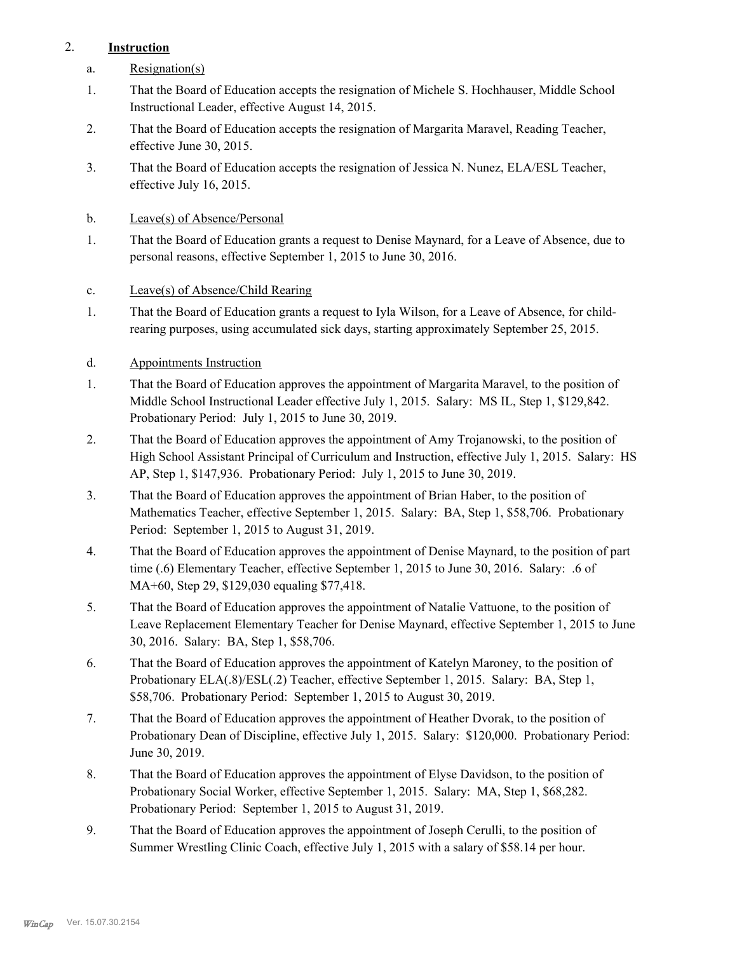## 2. **Instruction**

- a. Resignation(s)
- That the Board of Education accepts the resignation of Michele S. Hochhauser, Middle School Instructional Leader, effective August 14, 2015. 1.
- That the Board of Education accepts the resignation of Margarita Maravel, Reading Teacher, effective June 30, 2015. 2.
- That the Board of Education accepts the resignation of Jessica N. Nunez, ELA/ESL Teacher, effective July 16, 2015. 3.
- b. Leave(s) of Absence/Personal
- That the Board of Education grants a request to Denise Maynard, for a Leave of Absence, due to personal reasons, effective September 1, 2015 to June 30, 2016. 1.
- c. Leave(s) of Absence/Child Rearing
- That the Board of Education grants a request to Iyla Wilson, for a Leave of Absence, for childrearing purposes, using accumulated sick days, starting approximately September 25, 2015. 1.

#### d. Appointments Instruction

- That the Board of Education approves the appointment of Margarita Maravel, to the position of Middle School Instructional Leader effective July 1, 2015. Salary: MS IL, Step 1, \$129,842. Probationary Period: July 1, 2015 to June 30, 2019. 1.
- That the Board of Education approves the appointment of Amy Trojanowski, to the position of High School Assistant Principal of Curriculum and Instruction, effective July 1, 2015. Salary: HS AP, Step 1, \$147,936. Probationary Period: July 1, 2015 to June 30, 2019. 2.
- That the Board of Education approves the appointment of Brian Haber, to the position of Mathematics Teacher, effective September 1, 2015. Salary: BA, Step 1, \$58,706. Probationary Period: September 1, 2015 to August 31, 2019. 3.
- That the Board of Education approves the appointment of Denise Maynard, to the position of part time (.6) Elementary Teacher, effective September 1, 2015 to June 30, 2016. Salary: .6 of MA+60, Step 29, \$129,030 equaling \$77,418. 4.
- That the Board of Education approves the appointment of Natalie Vattuone, to the position of Leave Replacement Elementary Teacher for Denise Maynard, effective September 1, 2015 to June 30, 2016. Salary: BA, Step 1, \$58,706. 5.
- That the Board of Education approves the appointment of Katelyn Maroney, to the position of Probationary ELA(.8)/ESL(.2) Teacher, effective September 1, 2015. Salary: BA, Step 1, \$58,706. Probationary Period: September 1, 2015 to August 30, 2019. 6.
- That the Board of Education approves the appointment of Heather Dvorak, to the position of Probationary Dean of Discipline, effective July 1, 2015. Salary: \$120,000. Probationary Period: June 30, 2019. 7.
- That the Board of Education approves the appointment of Elyse Davidson, to the position of Probationary Social Worker, effective September 1, 2015. Salary: MA, Step 1, \$68,282. Probationary Period: September 1, 2015 to August 31, 2019. 8.
- That the Board of Education approves the appointment of Joseph Cerulli, to the position of Summer Wrestling Clinic Coach, effective July 1, 2015 with a salary of \$58.14 per hour. 9.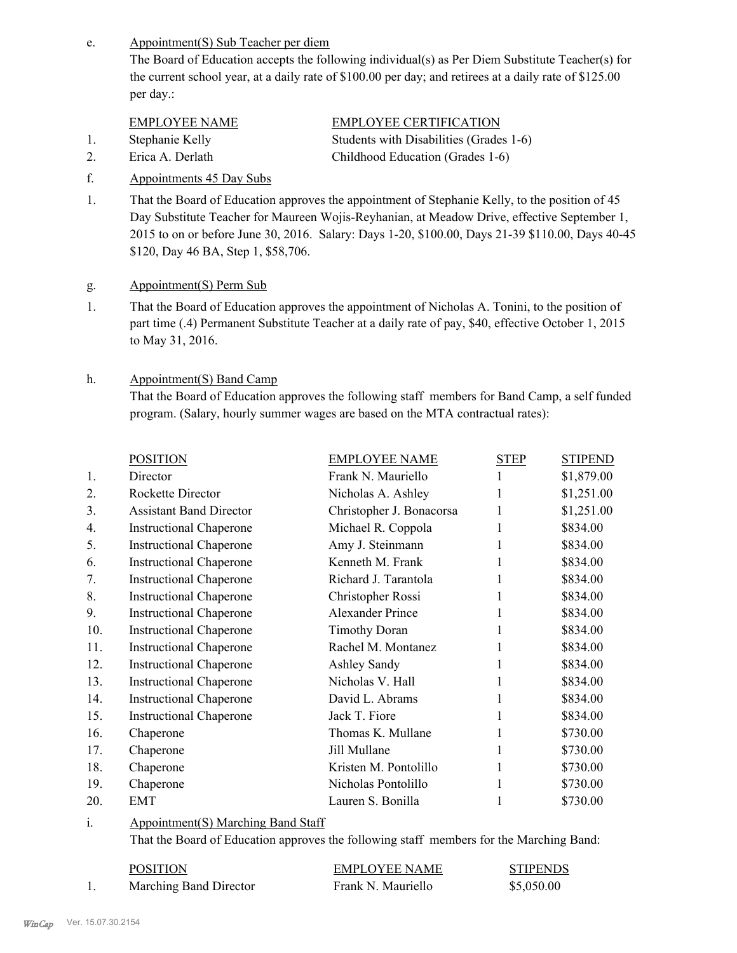Appointment(S) Sub Teacher per diem e.

> The Board of Education accepts the following individual(s) as Per Diem Substitute Teacher(s) for the current school year, at a daily rate of \$100.00 per day; and retirees at a daily rate of \$125.00 per day.:

#### EMPLOYEE NAME EMPLOYEE CERTIFICATION

- 1. Stephanie Kelly Students with Disabilities (Grades 1-6)
- 2. Erica A. Derlath Childhood Education (Grades 1-6)

f. Appointments 45 Day Subs

- That the Board of Education approves the appointment of Stephanie Kelly, to the position of 45 Day Substitute Teacher for Maureen Wojis-Reyhanian, at Meadow Drive, effective September 1, 2015 to on or before June 30, 2016. Salary: Days 1-20, \$100.00, Days 21-39 \$110.00, Days 40-45 \$120, Day 46 BA, Step 1, \$58,706. 1.
- g. Appointment(S) Perm Sub
- That the Board of Education approves the appointment of Nicholas A. Tonini, to the position of part time (.4) Permanent Substitute Teacher at a daily rate of pay, \$40, effective October 1, 2015 to May 31, 2016. 1.

#### Appointment(S) Band Camp h.

That the Board of Education approves the following staff members for Band Camp, a self funded program. (Salary, hourly summer wages are based on the MTA contractual rates):

| <b>POSITION</b>                | <b>EMPLOYEE NAME</b>     | <b>STEP</b> | <b>STIPEND</b> |
|--------------------------------|--------------------------|-------------|----------------|
| Director                       | Frank N. Mauriello       |             | \$1,879.00     |
| Rockette Director              | Nicholas A. Ashley       |             | \$1,251.00     |
| <b>Assistant Band Director</b> | Christopher J. Bonacorsa | 1           | \$1,251.00     |
| <b>Instructional Chaperone</b> | Michael R. Coppola       |             | \$834.00       |
| <b>Instructional Chaperone</b> | Amy J. Steinmann         |             | \$834.00       |
| <b>Instructional Chaperone</b> | Kenneth M. Frank         |             | \$834.00       |
| <b>Instructional Chaperone</b> | Richard J. Tarantola     |             | \$834.00       |
| <b>Instructional Chaperone</b> | Christopher Rossi        |             | \$834.00       |
| <b>Instructional Chaperone</b> | <b>Alexander Prince</b>  |             | \$834.00       |
| <b>Instructional Chaperone</b> | <b>Timothy Doran</b>     |             | \$834.00       |
| <b>Instructional Chaperone</b> | Rachel M. Montanez       |             | \$834.00       |
| <b>Instructional Chaperone</b> | <b>Ashley Sandy</b>      |             | \$834.00       |
| <b>Instructional Chaperone</b> | Nicholas V. Hall         |             | \$834.00       |
| <b>Instructional Chaperone</b> | David L. Abrams          |             | \$834.00       |
| <b>Instructional Chaperone</b> | Jack T. Fiore            |             | \$834.00       |
| Chaperone                      | Thomas K. Mullane        |             | \$730.00       |
| Chaperone                      | Jill Mullane             |             | \$730.00       |
| Chaperone                      | Kristen M. Pontolillo    |             | \$730.00       |
| Chaperone                      | Nicholas Pontolillo      |             | \$730.00       |
| EMT                            | Lauren S. Bonilla        |             | \$730.00       |
|                                |                          |             |                |

#### Appointment(S) Marching Band Staff i.

That the Board of Education approves the following staff members for the Marching Band:

|     | <b>POSITION</b>        | <b>EMPLOYEE NAME</b> | <b>STIPENDS</b> |
|-----|------------------------|----------------------|-----------------|
| . . | Marching Band Director | Frank N. Mauriello   | \$5,050.00      |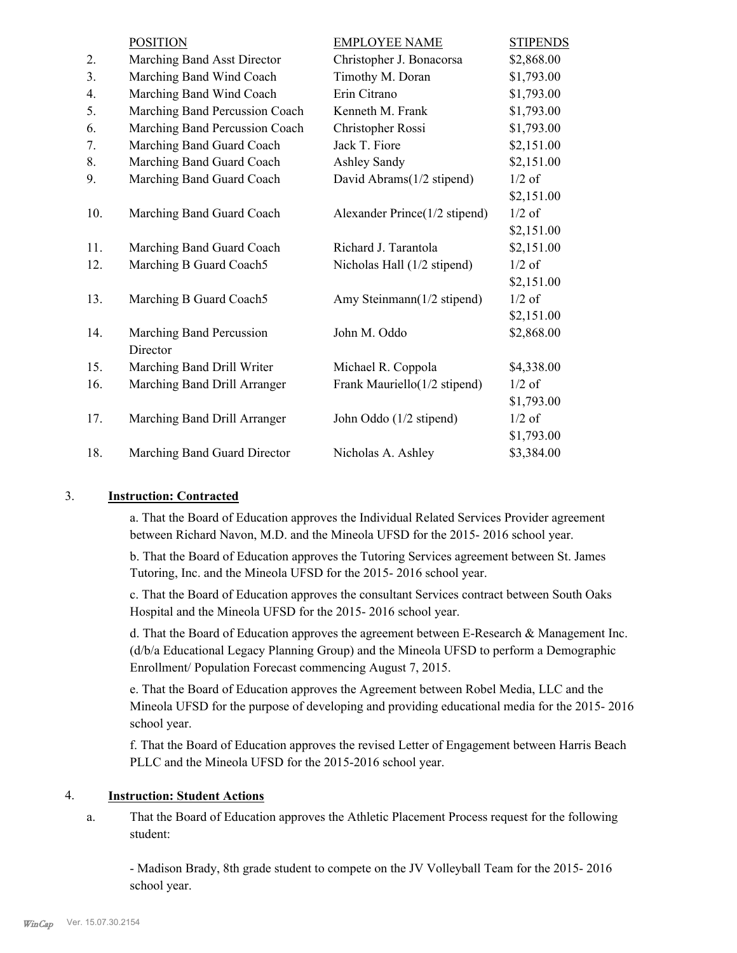|     | <b>POSITION</b>                | <b>EMPLOYEE NAME</b>          | <b>STIPENDS</b> |
|-----|--------------------------------|-------------------------------|-----------------|
| 2.  | Marching Band Asst Director    | Christopher J. Bonacorsa      | \$2,868.00      |
| 3.  | Marching Band Wind Coach       | Timothy M. Doran              | \$1,793.00      |
| 4.  | Marching Band Wind Coach       | Erin Citrano                  | \$1,793.00      |
| 5.  | Marching Band Percussion Coach | Kenneth M. Frank              | \$1,793.00      |
| 6.  | Marching Band Percussion Coach | Christopher Rossi             | \$1,793.00      |
| 7.  | Marching Band Guard Coach      | Jack T. Fiore                 | \$2,151.00      |
| 8.  | Marching Band Guard Coach      | Ashley Sandy                  | \$2,151.00      |
| 9.  | Marching Band Guard Coach      | David Abrams(1/2 stipend)     | $1/2$ of        |
|     |                                |                               | \$2,151.00      |
| 10. | Marching Band Guard Coach      | Alexander Prince(1/2 stipend) | $1/2$ of        |
|     |                                |                               | \$2,151.00      |
| 11. | Marching Band Guard Coach      | Richard J. Tarantola          | \$2,151.00      |
| 12. | Marching B Guard Coach5        | Nicholas Hall (1/2 stipend)   | $1/2$ of        |
|     |                                |                               | \$2,151.00      |
| 13. | Marching B Guard Coach5        | Amy Steinmann(1/2 stipend)    | $1/2$ of        |
|     |                                |                               | \$2,151.00      |
| 14. | Marching Band Percussion       | John M. Oddo                  | \$2,868.00      |
|     | Director                       |                               |                 |
| 15. | Marching Band Drill Writer     | Michael R. Coppola            | \$4,338.00      |
| 16. | Marching Band Drill Arranger   | Frank Mauriello(1/2 stipend)  | $1/2$ of        |
|     |                                |                               | \$1,793.00      |
| 17. | Marching Band Drill Arranger   | John Oddo (1/2 stipend)       | $1/2$ of        |
|     |                                |                               | \$1,793.00      |
| 18. | Marching Band Guard Director   | Nicholas A. Ashley            | \$3,384.00      |

#### 3. **Instruction: Contracted**

a. That the Board of Education approves the Individual Related Services Provider agreement between Richard Navon, M.D. and the Mineola UFSD for the 2015- 2016 school year.

b. That the Board of Education approves the Tutoring Services agreement between St. James Tutoring, Inc. and the Mineola UFSD for the 2015- 2016 school year.

c. That the Board of Education approves the consultant Services contract between South Oaks Hospital and the Mineola UFSD for the 2015- 2016 school year.

d. That the Board of Education approves the agreement between E-Research & Management Inc. (d/b/a Educational Legacy Planning Group) and the Mineola UFSD to perform a Demographic Enrollment/ Population Forecast commencing August 7, 2015.

e. That the Board of Education approves the Agreement between Robel Media, LLC and the Mineola UFSD for the purpose of developing and providing educational media for the 2015- 2016 school year.

f. That the Board of Education approves the revised Letter of Engagement between Harris Beach PLLC and the Mineola UFSD for the 2015-2016 school year.

#### 4. **Instruction: Student Actions**

That the Board of Education approves the Athletic Placement Process request for the following student: a.

- Madison Brady, 8th grade student to compete on the JV Volleyball Team for the 2015- 2016 school year.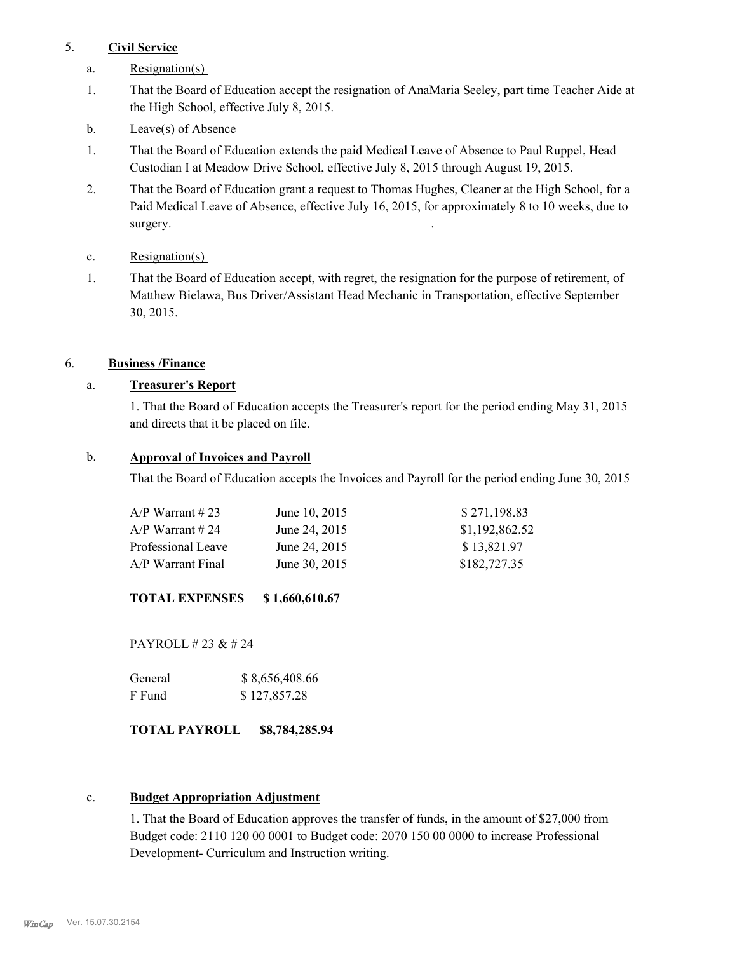#### 5. **Civil Service**

- a. Resignation(s)
- That the Board of Education accept the resignation of AnaMaria Seeley, part time Teacher Aide at the High School, effective July 8, 2015. 1.
- b. Leave(s) of Absence
- That the Board of Education extends the paid Medical Leave of Absence to Paul Ruppel, Head Custodian I at Meadow Drive School, effective July 8, 2015 through August 19, 2015. 1.
- That the Board of Education grant a request to Thomas Hughes, Cleaner at the High School, for a Paid Medical Leave of Absence, effective July 16, 2015, for approximately 8 to 10 weeks, due to surgery. 2.
- c. Resignation(s)
- That the Board of Education accept, with regret, the resignation for the purpose of retirement, of Matthew Bielawa, Bus Driver/Assistant Head Mechanic in Transportation, effective September 30, 2015. 1.

#### 6. **Business /Finance**

#### a. **Treasurer's Report**

1. That the Board of Education accepts the Treasurer's report for the period ending May 31, 2015 and directs that it be placed on file.

#### b. **Approval of Invoices and Payroll**

That the Board of Education accepts the Invoices and Payroll for the period ending June 30, 2015

| A/P Warrant # 23   | June 10, 2015 | \$271,198.83   |
|--------------------|---------------|----------------|
| A/P Warrant # 24   | June 24, 2015 | \$1,192,862.52 |
| Professional Leave | June 24, 2015 | \$13,821.97    |
| A/P Warrant Final  | June 30, 2015 | \$182,727.35   |

**TOTAL EXPENSES \$ 1,660,610.67**

PAYROLL # 23 & # 24

| General | \$8,656,408.66 |
|---------|----------------|
| F Fund  | \$127,857.28   |

#### **TOTAL PAYROLL \$8,784,285.94**

#### c. **Budget Appropriation Adjustment**

1. That the Board of Education approves the transfer of funds, in the amount of \$27,000 from Budget code: 2110 120 00 0001 to Budget code: 2070 150 00 0000 to increase Professional Development- Curriculum and Instruction writing.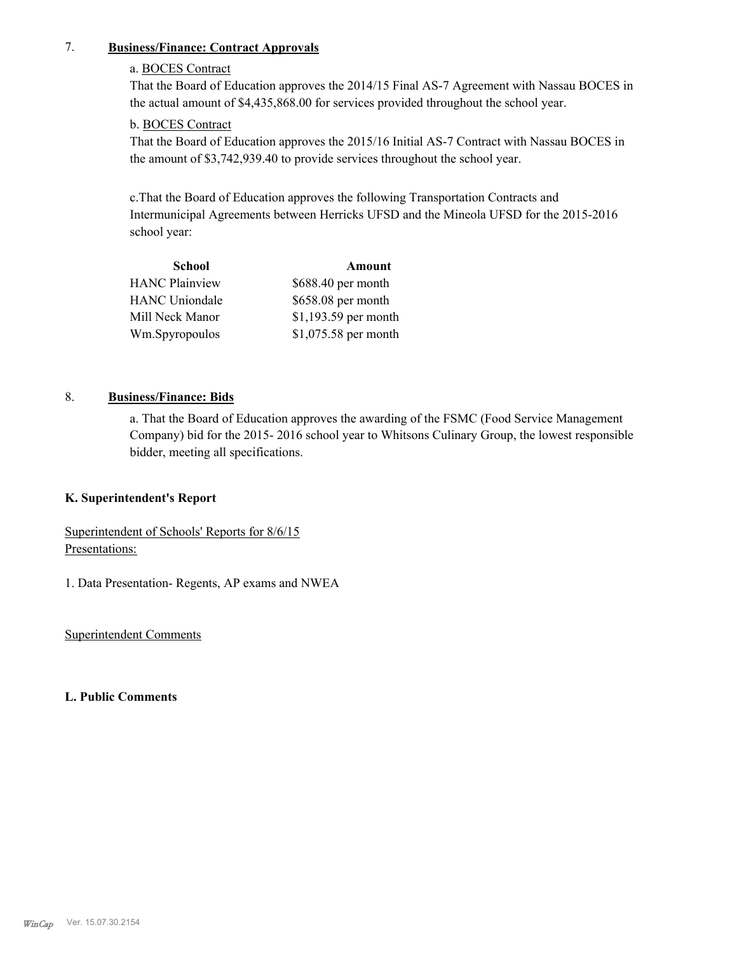#### 7. **Business/Finance: Contract Approvals**

## a. BOCES Contract

That the Board of Education approves the 2014/15 Final AS-7 Agreement with Nassau BOCES in the actual amount of \$4,435,868.00 for services provided throughout the school year.

#### b. BOCES Contract

That the Board of Education approves the 2015/16 Initial AS-7 Contract with Nassau BOCES in the amount of \$3,742,939.40 to provide services throughout the school year.

c.That the Board of Education approves the following Transportation Contracts and Intermunicipal Agreements between Herricks UFSD and the Mineola UFSD for the 2015-2016 school year:

| School                | Amount               |
|-----------------------|----------------------|
| <b>HANC Plainview</b> | \$688.40 per month   |
| <b>HANC Uniondale</b> | \$658.08 per month   |
| Mill Neck Manor       | \$1,193.59 per month |
| Wm.Spyropoulos        | \$1,075.58 per month |

# 8. **Business/Finance: Bids**

a. That the Board of Education approves the awarding of the FSMC (Food Service Management Company) bid for the 2015- 2016 school year to Whitsons Culinary Group, the lowest responsible bidder, meeting all specifications.

#### **K. Superintendent's Report**

Superintendent of Schools' Reports for 8/6/15 Presentations:

1. Data Presentation- Regents, AP exams and NWEA

Superintendent Comments

#### **L. Public Comments**